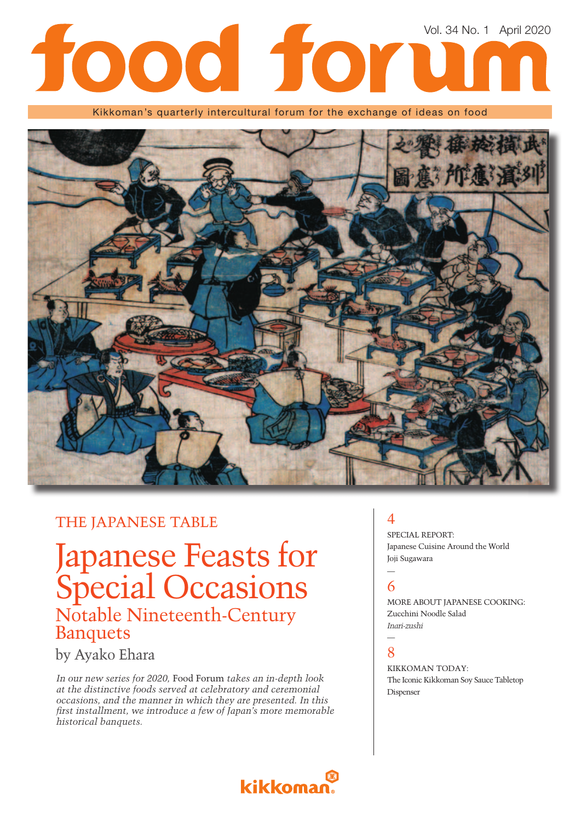# Vol. 34 No. 1 April 2020tood for

Kikkoman's quarterly intercultural forum for the exchange of ideas on food



### THE JAPANESE TABLE

Japanese Feasts for Special Occasions Notable Nineteenth-Century Banquets

## by Ayako Ehara

*In our new series for 2020,* Food Forum *takes an in-depth look at the distinctive foods served at celebratory and ceremonial occasions, and the manner in which they are presented. In this*  first installment, we introduce a few of Japan's more memorable *historical banquets.*

### $\overline{\mathcal{A}}$

SPECIAL REPORT: Japanese Cuisine Around the World Joji Sugawara

#### — 6

MORE ABOUT JAPANESE COOKING: Zucchini Noodle Salad *Inari-zushi*

#### — 8

KIKKOMAN TODAY: The Iconic Kikkoman Soy Sauce Tabletop Dispenser

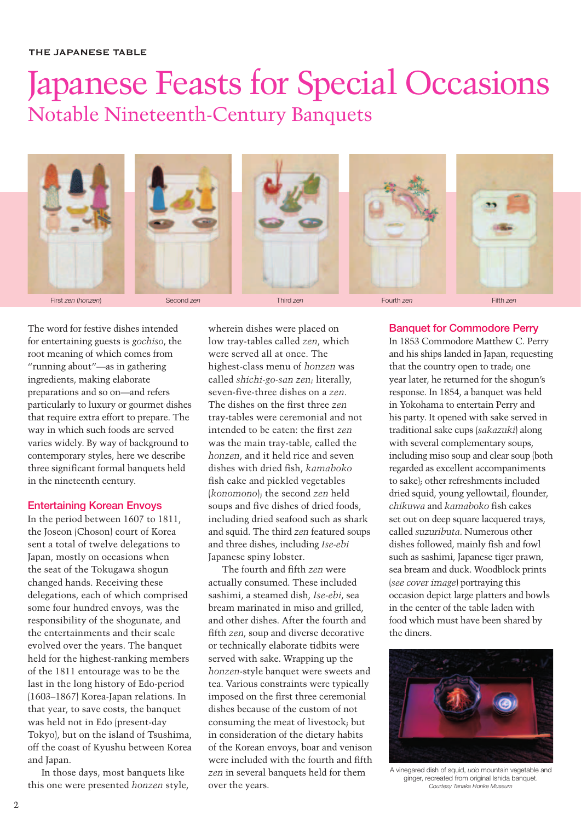## Japanese Feasts for Special Occasions Notable Nineteenth-Century Banquets











The word for festive dishes intended for entertaining guests is *gochiso*, the root meaning of which comes from "running about"—as in gathering ingredients, making elaborate preparations and so on—and refers particularly to luxury or gourmet dishes that require extra effort to prepare. The way in which such foods are served varies widely. By way of background to contemporary styles, here we describe three significant formal banquets held in the nineteenth century.

#### **Entertaining Korean Envoys**

In the period between 1607 to 1811, the Joseon (Choson) court of Korea sent a total of twelve delegations to Japan, mostly on occasions when the seat of the Tokugawa shogun changed hands. Receiving these delegations, each of which comprised some four hundred envoys, was the responsibility of the shogunate, and the entertainments and their scale evolved over the years. The banquet held for the highest-ranking members of the 1811 entourage was to be the last in the long history of Edo-period (1603–1867) Korea-Japan relations. In that year, to save costs, the banquet was held not in Edo (present-day Tokyo), but on the island of Tsushima, off the coast of Kyushu between Korea and Japan.

In those days, most banquets like this one were presented *honzen* style,

wherein dishes were placed on low tray-tables called *zen*, which were served all at once. The highest-class menu of *honzen* was called *shichi-go-san zen;* literally, seven-fi ve-three dishes on a *zen*. The dishes on the first three *zen* tray-tables were ceremonial and not intended to be eaten: the first *zen* was the main tray-table, called the *honzen*, and it held rice and seven dishes with dried fish, *kamaboko* fish cake and pickled vegetables (*konomono*); the second *zen* held soups and five dishes of dried foods, including dried seafood such as shark and squid. The third *zen* featured soups and three dishes, including *Ise-ebi* Japanese spiny lobster.

The fourth and fifth *zen* were actually consumed. These included sashimi, a steamed dish, *Ise-ebi*, sea bream marinated in miso and grilled, and other dishes. After the fourth and fifth *zen*, soup and diverse decorative or technically elaborate tidbits were served with sake. Wrapping up the *honzen*-style banquet were sweets and tea. Various constraints were typically imposed on the first three ceremonial dishes because of the custom of not consuming the meat of livestock; but in consideration of the dietary habits of the Korean envoys, boar and venison were included with the fourth and fifth *zen* in several banquets held for them over the years.

#### **Banquet for Commodore Perry**

In 1853 Commodore Matthew C. Perry and his ships landed in Japan, requesting that the country open to trade; one year later, he returned for the shogun's response. In 1854, a banquet was held in Yokohama to entertain Perry and his party. It opened with sake served in traditional sake cups (*sakazuki*) along with several complementary soups, including miso soup and clear soup (both regarded as excellent accompaniments to sake); other refreshments included dried squid, young yellowtail, flounder, *chikuwa* and *kamaboko* fish cakes set out on deep square lacquered trays. called *suzuributa*. Numerous other dishes followed, mainly fish and fowl such as sashimi, Japanese tiger prawn, sea bream and duck. Woodblock prints (*see cover image*) portraying this occasion depict large platters and bowls in the center of the table laden with food which must have been shared by the diners.



A vinegared dish of squid, *udo* mountain vegetable and ginger, recreated from original Ishida banquet. *Courtesy Tanaka Honke Museum*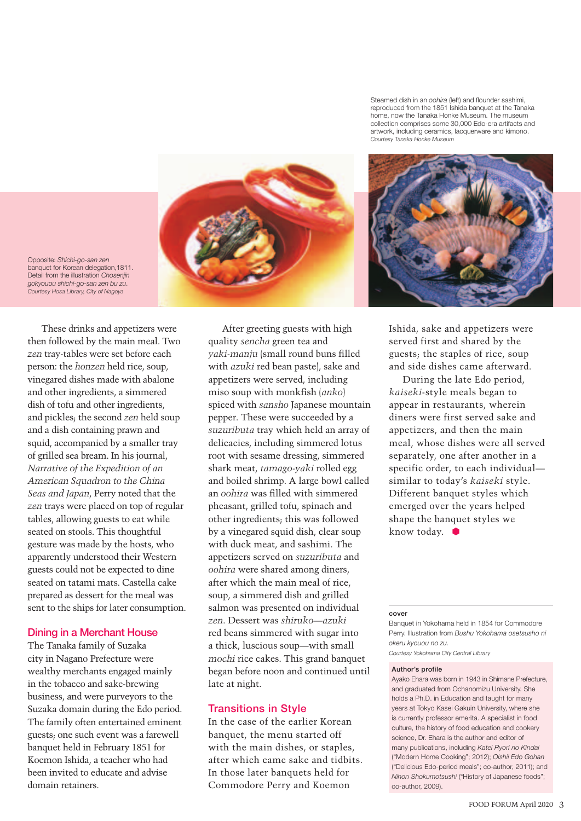Steamed dish in an *oohira (left)* and flounder sashimi reproduced from the 1851 Ishida banquet at the Tanaka home, now the Tanaka Honke Museum. The museum collection comprises some 30,000 Edo-era artifacts and artwork, including ceramics, lacquerware and kimono. *Courtesy Tanaka Honke Museum*





Opposite: *Shichi-go-san zen* banquet for Korean delegation,1811. Detail from the illustration *Chosenjin gokyouou shichi-go-san zen bu zu*. *Courtesy Hosa Library, City of Nagoya*

These drinks and appetizers were then followed by the main meal. Two *zen* tray-tables were set before each person: the *honzen* held rice, soup, vinegared dishes made with abalone and other ingredients, a simmered dish of tofu and other ingredients, and pickles; the second *zen* held soup and a dish containing prawn and squid, accompanied by a smaller tray of grilled sea bream. In his journal, *Narrative of the Expedition of an American Squadron to the China Seas and Japan*, Perry noted that the *zen* trays were placed on top of regular tables, allowing guests to eat while seated on stools. This thoughtful gesture was made by the hosts, who apparently understood their Western guests could not be expected to dine seated on tatami mats. Castella cake prepared as dessert for the meal was sent to the ships for later consumption.

#### **Dining in a Merchant House**

The Tanaka family of Suzaka city in Nagano Prefecture were wealthy merchants engaged mainly in the tobacco and sake-brewing business, and were purveyors to the Suzaka domain during the Edo period. The family often entertained eminent guests; one such event was a farewell banquet held in February 1851 for Koemon Ishida, a teacher who had been invited to educate and advise domain retainers.

After greeting guests with high quality *sencha* green tea and *yaki-manju* (small round buns filled with *azuki* red bean paste), sake and appetizers were served, including miso soup with monkfish (*anko*) spiced with *sansho* Japanese mountain pepper. These were succeeded by a *suzuributa* tray which held an array of delicacies, including simmered lotus root with sesame dressing, simmered shark meat, *tamago-yaki* rolled egg and boiled shrimp. A large bowl called an *oohira* was filled with simmered pheasant, grilled tofu, spinach and other ingredients; this was followed by a vinegared squid dish, clear soup with duck meat, and sashimi. The appetizers served on *suzuributa* and *oohira* were shared among diners, after which the main meal of rice, soup, a simmered dish and grilled salmon was presented on individual *zen*. Dessert was *shiruko*—*azuki* red beans simmered with sugar into a thick, luscious soup—with small *mochi* rice cakes. This grand banquet began before noon and continued until late at night.

#### **Transitions in Style**

In the case of the earlier Korean banquet, the menu started off with the main dishes, or staples, after which came sake and tidbits. In those later banquets held for Commodore Perry and Koemon

Ishida, sake and appetizers were served first and shared by the guests; the staples of rice, soup and side dishes came afterward.

During the late Edo period, *kaiseki*-style meals began to appear in restaurants, wherein diners were first served sake and appetizers, and then the main meal, whose dishes were all served separately, one after another in a specific order, to each individual similar to today's *kaiseki* style. Different banquet styles which emerged over the years helped shape the banquet styles we know today.

#### **cover**

Banquet in Yokohama held in 1854 for Commodore Perry. Illustration from *Bushu Yokohama osetsusho ni okeru kyouou no zu. Courtesy Yokohama City Central Library*

#### **Author's profile**

Ayako Ehara was born in 1943 in Shimane Prefecture, and graduated from Ochanomizu University. She holds a Ph.D. in Education and taught for many years at Tokyo Kasei Gakuin University, where she is currently professor emerita. A specialist in food culture, the history of food education and cookery science. Dr. Ehara is the author and editor of many publications, including *Katei Ryori no Kindai*  ("Modern Home Cooking"; 2012); *Oishii Edo Gohan* ("Delicious Edo-period meals"; co-author, 2011); and *Nihon Shokumotsushi* ("History of Japanese foods"; co-author, 2009).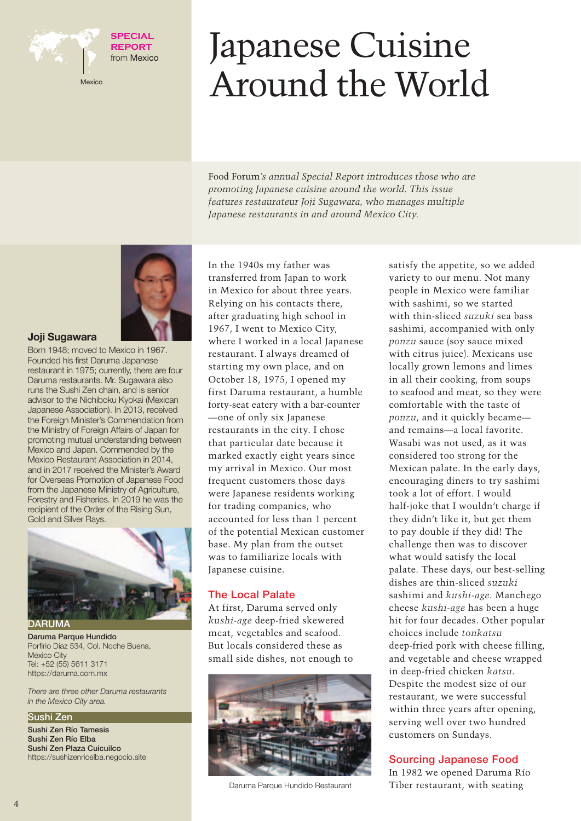

Mexico

**SPECIAL REPORT** from Mexico

## Japanese Cuisine Around the World

Food Forum*'s annual Special Report introduces those who are promoting Japanese cuisine around the world. This issue features restaurateur Joji Sugawara, who manages multiple Japanese restaurants in and around Mexico City.*



#### **Joji Sugawara**

Born 1948; moved to Mexico in 1967. Founded his first Daruma Japanese restaurant in 1975; currently, there are four Daruma restaurants. Mr. Sugawara also runs the Sushi Zen chain, and is senior advisor to the Nichiboku Kyokai (Mexican Japanese Association). In 2013, received the Foreign Minister's Commendation from the Ministry of Foreign Affairs of Japan for promoting mutual understanding between Mexico and Japan. Commended by the Mexico Restaurant Association in 2014, and in 2017 received the Minister's Award for Overseas Promotion of Japanese Food from the Japanese Ministry of Agriculture, Forestry and Fisheries. In 2019 he was the recipient of the Order of the Rising Sun, Gold and Silver Rays.



#### **DARUMA**

**Daruma Parque Hundido** Porfirio Díaz 534, Col. Noche Buena, Mexico City Tel: +52 (55) 5611 3171 https://daruma.com.mx

*There are three other Daruma restaurants in the Mexico City area.*

#### **Sushi Zen**

**Sushi Zen Río Tamesis Sushi Zen Río Elba Sushi Zen Plaza Cuicuilco** https://sushizenrioelba.negocio.site In the 1940s my father was transferred from Japan to work in Mexico for about three years. Relying on his contacts there, after graduating high school in 1967, I went to Mexico City, where I worked in a local Japanese restaurant. I always dreamed of starting my own place, and on October 18, 1975, I opened my first Daruma restaurant, a humble forty-seat eatery with a bar-counter —one of only six Japanese restaurants in the city. I chose that particular date because it marked exactly eight years since my arrival in Mexico. Our most frequent customers those days were Japanese residents working for trading companies, who accounted for less than 1 percent of the potential Mexican customer base. My plan from the outset was to familiarize locals with Japanese cuisine.

#### **The Local Palate**

At first, Daruma served only *kushi-age* deep-fried skewered meat, vegetables and seafood. But locals considered these as small side dishes, not enough to



satisfy the appetite, so we added variety to our menu. Not many people in Mexico were familiar with sashimi, so we started with thin-sliced *suzuki* sea bass sashimi, accompanied with only *ponzu* sauce (soy sauce mixed with citrus juice). Mexicans use locally grown lemons and limes in all their cooking, from soups to seafood and meat, so they were comfortable with the taste of *ponzu*, and it quickly became and remains—a local favorite. Wasabi was not used, as it was considered too strong for the Mexican palate. In the early days, encouraging diners to try sashimi took a lot of effort*.* I would half-joke that I wouldn't charge if they didn't like it, but get them to pay double if they did! The challenge then was to discover what would satisfy the local palate. These days, our best-selling dishes are thin-sliced *suzuki* sashimi and *kushi-age.* Manchego cheese *kushi-age* has been a huge hit for four decades. Other popular choices include *tonkatsu* deep-fried pork with cheese filling, and vegetable and cheese wrapped in deep-fried chicken *katsu*. Despite the modest size of our restaurant, we were successful within three years after opening, serving well over two hundred customers on Sundays.

#### **Sourcing Japanese Food**

In 1982 we opened Daruma Río Daruma Parque Hundido Restaurant Tiber restaurant, with seating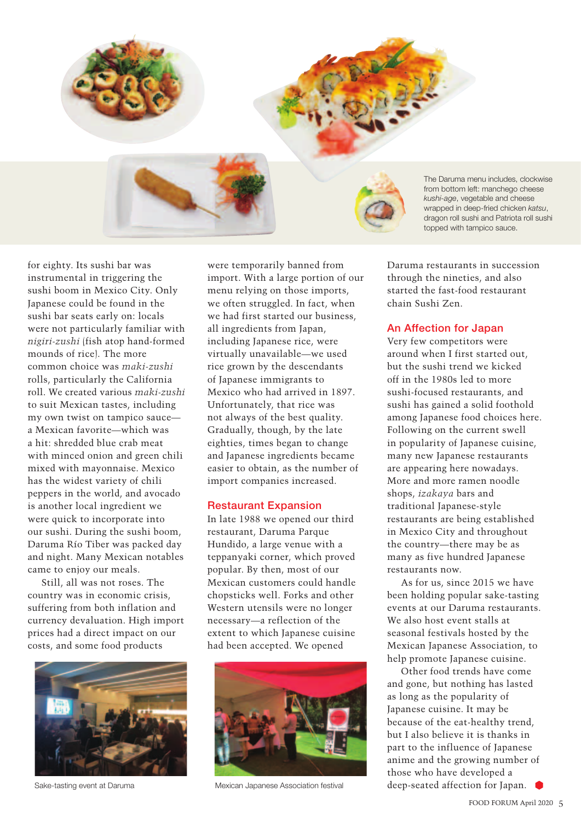

for eighty. Its sushi bar was instrumental in triggering the sushi boom in Mexico City. Only Japanese could be found in the sushi bar seats early on: locals were not particularly familiar with *nigiri-zushi* (fish atop hand-formed mounds of rice). The more common choice was *maki-zushi*  rolls, particularly the California roll. We created various *maki-zushi* to suit Mexican tastes, including my own twist on tampico sauce a Mexican favorite—which was a hit: shredded blue crab meat with minced onion and green chili mixed with mayonnaise. Mexico has the widest variety of chili peppers in the world, and avocado is another local ingredient we were quick to incorporate into our sushi. During the sushi boom, Daruma Río Tiber was packed day and night. Many Mexican notables came to enjoy our meals.

Still, all was not roses. The country was in economic crisis, suffering from both inflation and currency devaluation. High import prices had a direct impact on our costs, and some food products



were temporarily banned from import. With a large portion of our menu relying on those imports, we often struggled. In fact, when we had first started our business, all ingredients from Japan, including Japanese rice, were virtually unavailable—we used rice grown by the descendants of Japanese immigrants to Mexico who had arrived in 1897. Unfortunately, that rice was not always of the best quality. Gradually, though, by the late eighties, times began to change and Japanese ingredients became easier to obtain, as the number of import companies increased.

#### **Restaurant Expansion**

In late 1988 we opened our third restaurant, Daruma Parque Hundido, a large venue with a teppanyaki corner, which proved popular. By then, most of our Mexican customers could handle chopsticks well. Forks and other Western utensils were no longer necessary—a reflection of the extent to which Japanese cuisine had been accepted. We opened



Daruma restaurants in succession through the nineties, and also started the fast-food restaurant chain Sushi Zen.

#### **An Affection for Japan**

Very few competitors were around when I first started out, but the sushi trend we kicked off in the 1980s led to more sushi-focused restaurants, and sushi has gained a solid foothold among Japanese food choices here. Following on the current swell in popularity of Japanese cuisine, many new Japanese restaurants are appearing here nowadays. More and more ramen noodle shops, *izakaya* bars and traditional Japanese-style restaurants are being established in Mexico City and throughout the country—there may be as many as five hundred Japanese restaurants now.

As for us, since 2015 we have been holding popular sake-tasting events at our Daruma restaurants. We also host event stalls at seasonal festivals hosted by the Mexican Japanese Association, to help promote Japanese cuisine.

Other food trends have come and gone, but nothing has lasted as long as the popularity of Japanese cuisine. It may be because of the eat-healthy trend, but I also believe it is thanks in part to the influence of Japanese anime and the growing number of those who have developed a Sake-tasting event at Daruma **Mexican Japanese Association festival** deep-seated affection for Japan.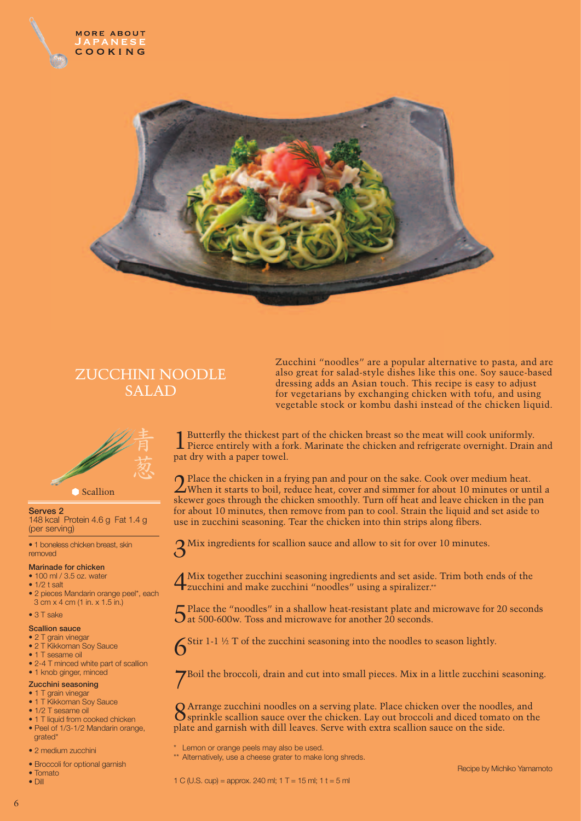

## ZUCCHINI NOODLE SALAD



**MORE ABOUT** 

#### **Serves 2**

148 kcal Protein 4.6 g Fat 1.4 g (per serving)

• 1 boneless chicken breast, skin removed

#### **Marinade for chicken**

- 100 ml / 3.5 oz. water
- $\bullet$  1/2 t salt
- 2 pieces Mandarin orange peel\*, each 3 cm x 4 cm (1 in. x 1.5 in.)

#### • 3 T sake

- **Scallion sauce**
- 2 T grain vinegar
- 2 T Kikkoman Soy Sauce
- 1 T sesame oil
- 2-4 T minced white part of scallion • 1 knob ginger, minced
- **Zucchini seasoning**

#### • 1 T grain vinegar

- 1 T Kikkoman Soy Sauce
- 1/2 T sesame oil
- 1 T liquid from cooked chicken
- Peel of 1/3-1/2 Mandarin orange, grated\*
- 2 medium zucchini
- Broccoli for optional garnish
- Tomato
- Dill

Zucchini "noodles" are a popular alternative to pasta, and are also great for salad-style dishes like this one. Soy sauce-based dressing adds an Asian touch. This recipe is easy to adjust for vegetarians by exchanging chicken with tofu, and using vegetable stock or kombu dashi instead of the chicken liquid.

**1** Butterfly the thickest part of the chicken breast so the meat will cook uniformly.<br>Pierce entirely with a fork. Marinate the chicken and refrigerate overnight. Drain and pat dry with a paper towel.

2 Place the chicken in a frying pan and pour on the sake. Cook over medium heat. When it starts to boil, reduce heat, cover and simmer for about 10 minutes or until a skewer goes through the chicken smoothly. Turn off heat and leave chicken in the pan for about 10 minutes, then remove from pan to cool. Strain the liquid and set aside to use in zucchini seasoning. Tear the chicken into thin strips along fibers.

Mix ingredients for scallion sauce and allow to sit for over 10 minutes.

4Mix together zucchini seasoning ingredients and set aside. Trim both ends of the zucchini and make zucchini "noodles" using a spiralizer.\*\*

5Place the "noodles" in a shallow heat-resistant plate and microwave for 20 seconds  $\overline{O}$  at 500-600w. Toss and microwave for another 20 seconds.

 $\int$ Stir 1-1 ½ T of the zucchini seasoning into the noodles to season lightly.

7Boil the broccoli, drain and cut into small pieces. Mix in a little zucchini seasoning.

8Arrange zucchini noodles on a serving plate. Place chicken over the noodles, and sprinkle scallion sauce over the chicken. Lay out broccoli and diced tomato on the plate and garnish with dill leaves. Serve with extra scallion sauce on the side.

Lemon or orange peels may also be used.

\*\* Alternatively, use a cheese grater to make long shreds.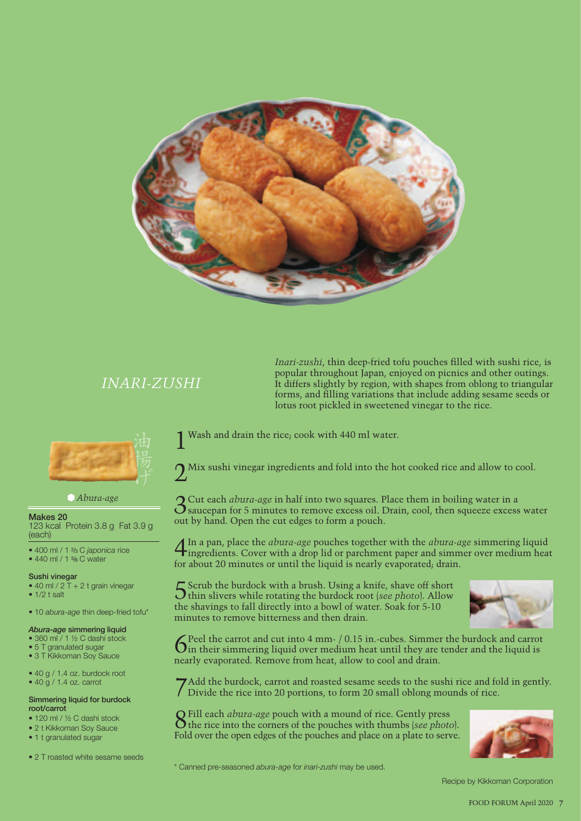

## *INARI-ZUSHI*



*Abura-age*

**Makes 20**

123 kcal Protein 3.8 g Fat 3.9 g (each)

• 400 ml / 1 2/3 C *japonica* rice

• 440 ml / 1 5/6 C water

#### **Sushi vinegar**

- $\bullet$  40 ml / 2 T + 2 t grain vinegar
- $\bullet$  1/2 t salt
- 10 *abura-age* thin deep-fried tofu\*
- *Abura-age* **simmering liquid**
- $\bullet$  360 ml  $/$  1  $\frac{1}{2}$  C dashi stock
- 5 T granulated sugar
- 3 T Kikkoman Soy Sauce
- 40 g / 1.4 oz. burdock root  $\bullet$  40 g / 1.4 oz. carrot

#### **Simmering liquid for burdock root/carrot**

- 120 ml / ½ C dashi stock
- 2 t Kikkoman Soy Sauce
- 1 t granulated sugar
- 2 T roasted white sesame seeds

*Inari-zushi*, thin deep-fried tofu pouches filled with sushi rice, is popular throughout Japan, enjoyed on picnics and other outings. It differs slightly by region, with shapes from oblong to triangular forms, and filling variations that include adding sesame seeds or lotus root pickled in sweetened vinegar to the rice.

Wash and drain the rice; cook with 440 ml water.

2Mix sushi vinegar ingredients and fold into the hot cooked rice and allow to cool.

3Cut each *abura-age* in half into two squares. Place them in boiling water in a saucepan for 5 minutes to remove excess oil. Drain, cool, then squeeze excess water out by hand. Open the cut edges to form a pouch.

4In a pan, place the *abura-age* pouches together with the *abura-age* simmering liquid ingredients. Cover with a drop lid or parchment paper and simmer over medium heat for about 20 minutes or until the liquid is nearly evaporated; drain.

5Scrub the burdock with a brush. Using a knife, shave off short thin slivers while rotating the burdock root (*see photo*). Allow the shavings to fall directly into a bowl of water. Soak for 5-10 minutes to remove bitterness and then drain.



 $6$ Peel the carrot and cut into 4 mm- / 0.15 in.-cubes. Simmer the burdock and carrot  $6$  in their simmering liquid over medium heat until they are tender and the liquid is nearly evaporated. Remove from heat, allow to cool and drain.

7Add the burdock, carrot and roasted sesame seeds to the sushi rice and fold in gently. Divide the rice into 20 portions, to form 20 small oblong mounds of rice.

8Fill each *abura-age* pouch with a mound of rice. Gently press the rice into the corners of the pouches with thumbs (*see photo*). Fold over the open edges of the pouches and place on a plate to serve.



\* Canned pre-seasoned *abura-age* for *inari-zushi* may be used.

Recipe by Kikkoman Corporation